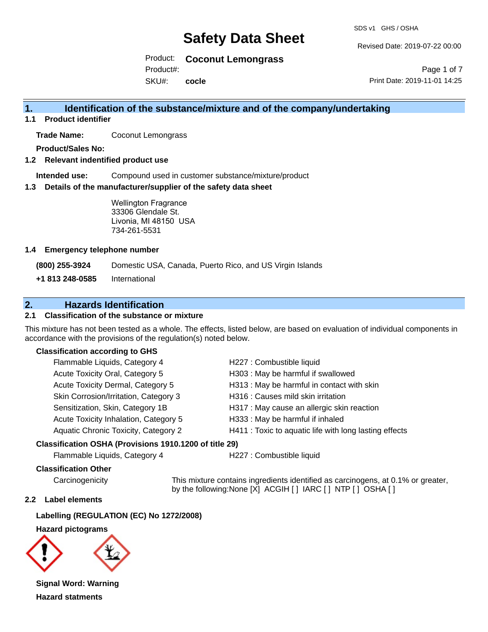SDS v1 GHS / OSHA

Revised Date: 2019-07-22 00:00

Product: **Coconut Lemongrass** Product#:

SKU#: **cocle**

Page 1 of 7 Print Date: 2019-11-01 14:25

## **1. Identification of the substance/mixture and of the company/undertaking**

**1.1 Product identifier**

**Trade Name:** Coconut Lemongrass

**Product/Sales No:**

**1.2 Relevant indentified product use**

**Intended use:** Compound used in customer substance/mixture/product

**1.3 Details of the manufacturer/supplier of the safety data sheet**

Wellington Fragrance 33306 Glendale St. Livonia, MI 48150 USA 734-261-5531

#### **1.4 Emergency telephone number**

**(800) 255-3924** Domestic USA, Canada, Puerto Rico, and US Virgin Islands

**+1 813 248-0585** International

# **2. Hazards Identification**

### **2.1 Classification of the substance or mixture**

This mixture has not been tested as a whole. The effects, listed below, are based on evaluation of individual components in accordance with the provisions of the regulation(s) noted below.

#### **Classification according to GHS**

| Flammable Liquids, Category 4         | H227 : Combustible liquid                              |
|---------------------------------------|--------------------------------------------------------|
| Acute Toxicity Oral, Category 5       | H303 : May be harmful if swallowed                     |
| Acute Toxicity Dermal, Category 5     | H313 : May be harmful in contact with skin             |
| Skin Corrosion/Irritation, Category 3 | H316 : Causes mild skin irritation                     |
| Sensitization, Skin, Category 1B      | H317 : May cause an allergic skin reaction             |
| Acute Toxicity Inhalation, Category 5 | H333: May be harmful if inhaled                        |
| Aquatic Chronic Toxicity, Category 2  | H411 : Toxic to aquatic life with long lasting effects |
|                                       |                                                        |

#### **Classification OSHA (Provisions 1910.1200 of title 29)**

Flammable Liquids, Category 4 H227 : Combustible liquid

#### **Classification Other**

Carcinogenicity This mixture contains ingredients identified as carcinogens, at 0.1% or greater, by the following:None [X] ACGIH [ ] IARC [ ] NTP [ ] OSHA [ ]

#### **2.2 Label elements**

**Labelling (REGULATION (EC) No 1272/2008)**

**Hazard pictograms**



**Signal Word: Warning Hazard statments**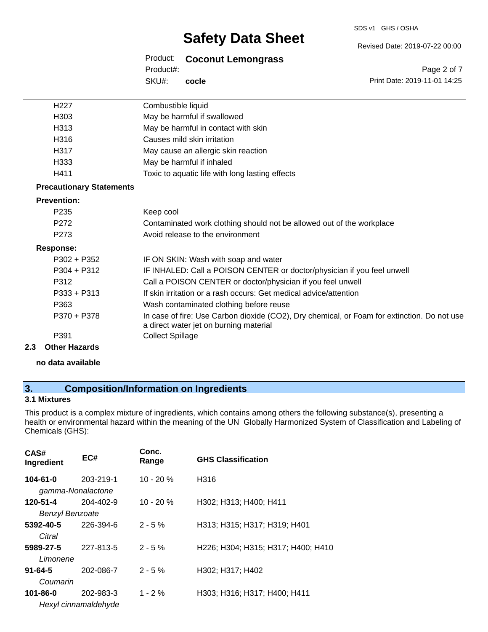#### SDS v1 GHS / OSHA

# **Safety Data Sheet**

Revised Date: 2019-07-22 00:00

Product: **Coconut Lemongrass** SKU#: Product#: **cocle**

Page 2 of 7 Print Date: 2019-11-01 14:25

| H <sub>227</sub>                | Combustible liquid                                                                                                                    |
|---------------------------------|---------------------------------------------------------------------------------------------------------------------------------------|
| H303                            | May be harmful if swallowed                                                                                                           |
| H313                            | May be harmful in contact with skin                                                                                                   |
| H316                            | Causes mild skin irritation                                                                                                           |
| H317                            | May cause an allergic skin reaction                                                                                                   |
| H333                            | May be harmful if inhaled                                                                                                             |
| H411                            | Toxic to aquatic life with long lasting effects                                                                                       |
| <b>Precautionary Statements</b> |                                                                                                                                       |
| <b>Prevention:</b>              |                                                                                                                                       |
| P <sub>235</sub>                | Keep cool                                                                                                                             |
| P <sub>272</sub>                | Contaminated work clothing should not be allowed out of the workplace                                                                 |
| P <sub>273</sub>                | Avoid release to the environment                                                                                                      |
| <b>Response:</b>                |                                                                                                                                       |
| $P302 + P352$                   | IF ON SKIN: Wash with soap and water                                                                                                  |
| $P304 + P312$                   | IF INHALED: Call a POISON CENTER or doctor/physician if you feel unwell                                                               |
| P312                            | Call a POISON CENTER or doctor/physician if you feel unwell                                                                           |
| $P333 + P313$                   | If skin irritation or a rash occurs: Get medical advice/attention                                                                     |
| P363                            | Wash contaminated clothing before reuse                                                                                               |
| P370 + P378                     | In case of fire: Use Carbon dioxide (CO2), Dry chemical, or Foam for extinction. Do not use<br>a direct water jet on burning material |
| P391                            | <b>Collect Spillage</b>                                                                                                               |
| 2.3<br><b>Other Hazards</b>     |                                                                                                                                       |

**no data available**

# **3. Composition/Information on Ingredients**

### **3.1 Mixtures**

This product is a complex mixture of ingredients, which contains among others the following substance(s), presenting a health or environmental hazard within the meaning of the UN Globally Harmonized System of Classification and Labeling of Chemicals (GHS):

| CAS#<br>Ingredient     | EC#                  | Conc.<br>Range | <b>GHS Classification</b>          |
|------------------------|----------------------|----------------|------------------------------------|
| 104-61-0               | 203-219-1            | $10 - 20%$     | H316                               |
|                        | gamma-Nonalactone    |                |                                    |
| 120-51-4               | 204-402-9            | $10 - 20%$     | H302; H313; H400; H411             |
| <b>Benzyl Benzoate</b> |                      |                |                                    |
| 5392-40-5              | 226-394-6            | $2 - 5%$       | H313; H315; H317; H319; H401       |
| Citral                 |                      |                |                                    |
| 5989-27-5              | 227-813-5            | $2 - 5%$       | H226; H304; H315; H317; H400; H410 |
| Limonene               |                      |                |                                    |
| $91 - 64 - 5$          | 202-086-7            | $2 - 5%$       | H302: H317: H402                   |
| Coumarin               |                      |                |                                    |
| $101 - 86 - 0$         | 202-983-3            | $1 - 2 \%$     | H303; H316; H317; H400; H411       |
|                        | Hexyl cinnamaldehyde |                |                                    |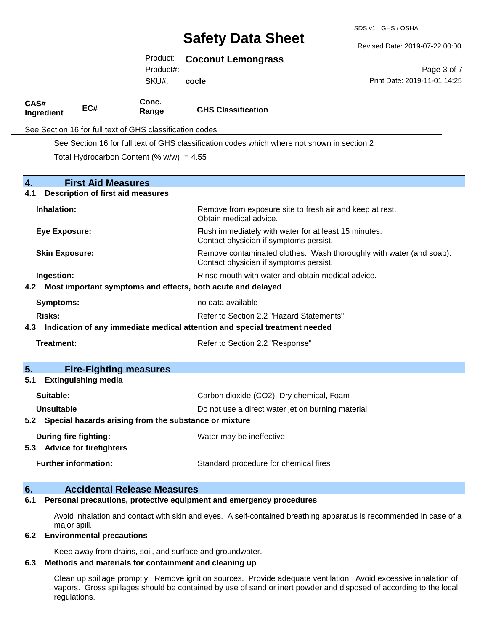SDS v1 GHS / OSHA

Revised Date: 2019-07-22 00:00

|                                       |                            |                                                          |                                                                                                               | Revised Date: 2019-07-22 00:00 |
|---------------------------------------|----------------------------|----------------------------------------------------------|---------------------------------------------------------------------------------------------------------------|--------------------------------|
|                                       |                            | Product:                                                 | <b>Coconut Lemongrass</b>                                                                                     |                                |
|                                       |                            | Product#:                                                |                                                                                                               | Page 3 of 7                    |
|                                       |                            | SKU#:                                                    | cocle                                                                                                         | Print Date: 2019-11-01 14:25   |
| CAS#<br>Ingredient                    | EC#                        | Conc.<br>Range                                           | <b>GHS Classification</b>                                                                                     |                                |
|                                       |                            | See Section 16 for full text of GHS classification codes |                                                                                                               |                                |
|                                       |                            |                                                          | See Section 16 for full text of GHS classification codes which where not shown in section 2                   |                                |
|                                       |                            | Total Hydrocarbon Content (% $w/w$ ) = 4.55              |                                                                                                               |                                |
| 4.                                    | <b>First Aid Measures</b>  |                                                          |                                                                                                               |                                |
| 4.1                                   |                            | Description of first aid measures                        |                                                                                                               |                                |
| Inhalation:                           |                            |                                                          | Remove from exposure site to fresh air and keep at rest.<br>Obtain medical advice.                            |                                |
| <b>Eye Exposure:</b>                  |                            |                                                          | Flush immediately with water for at least 15 minutes.<br>Contact physician if symptoms persist.               |                                |
| <b>Skin Exposure:</b>                 |                            |                                                          | Remove contaminated clothes. Wash thoroughly with water (and soap).<br>Contact physician if symptoms persist. |                                |
| Ingestion:                            |                            |                                                          | Rinse mouth with water and obtain medical advice.                                                             |                                |
| 4.2                                   |                            |                                                          | Most important symptoms and effects, both acute and delayed                                                   |                                |
| <b>Symptoms:</b>                      |                            |                                                          | no data available                                                                                             |                                |
| <b>Risks:</b>                         |                            |                                                          | Refer to Section 2.2 "Hazard Statements"                                                                      |                                |
| 4.3                                   |                            |                                                          | Indication of any immediate medical attention and special treatment needed                                    |                                |
| <b>Treatment:</b>                     |                            |                                                          | Refer to Section 2.2 "Response"                                                                               |                                |
| 5.                                    |                            | <b>Fire-Fighting measures</b>                            |                                                                                                               |                                |
| 5.1                                   | <b>Extinguishing media</b> |                                                          |                                                                                                               |                                |
| Suitable:                             |                            |                                                          | Carbon dioxide (CO2), Dry chemical, Foam                                                                      |                                |
| <b>Unsuitable</b>                     |                            |                                                          | Do not use a direct water jet on burning material                                                             |                                |
| 5.2                                   |                            |                                                          | Special hazards arising from the substance or mixture                                                         |                                |
| <b>During fire fighting:</b>          |                            |                                                          | Water may be ineffective                                                                                      |                                |
| <b>Advice for firefighters</b><br>5.3 |                            |                                                          |                                                                                                               |                                |

Avoid inhalation and contact with skin and eyes. A self-contained breathing apparatus is recommended in case of a major spill.

### **6.2 Environmental precautions**

Keep away from drains, soil, and surface and groundwater.

### **6.3 Methods and materials for containment and cleaning up**

Clean up spillage promptly. Remove ignition sources. Provide adequate ventilation. Avoid excessive inhalation of vapors. Gross spillages should be contained by use of sand or inert powder and disposed of according to the local regulations.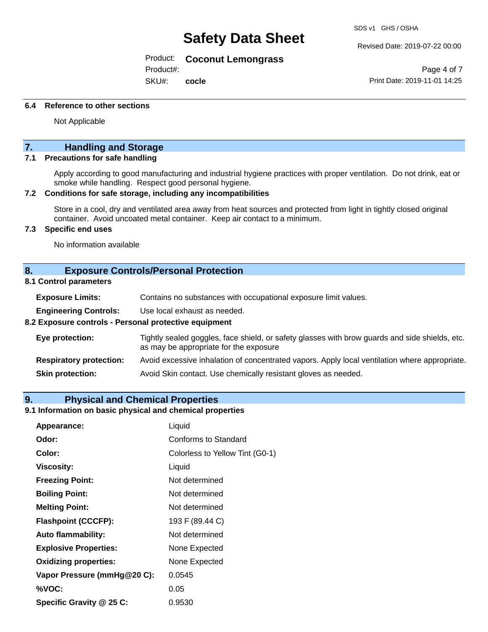SDS v1 GHS / OSHA

Product: **Coconut Lemongrass**

Product#:

SKU#: **cocle** Revised Date: 2019-07-22 00:00

Page 4 of 7 Print Date: 2019-11-01 14:25

#### **6.4 Reference to other sections**

Not Applicable

# **7. Handling and Storage**

### **7.1 Precautions for safe handling**

Apply according to good manufacturing and industrial hygiene practices with proper ventilation. Do not drink, eat or smoke while handling. Respect good personal hygiene.

#### **7.2 Conditions for safe storage, including any incompatibilities**

Store in a cool, dry and ventilated area away from heat sources and protected from light in tightly closed original container. Avoid uncoated metal container. Keep air contact to a minimum.

### **7.3 Specific end uses**

No information available

#### **8. Exposure Controls/Personal Protection**

#### **8.1 Control parameters**

| <b>Exposure Limits:</b><br>Contains no substances with occupational exposure limit values. |  |
|--------------------------------------------------------------------------------------------|--|
|--------------------------------------------------------------------------------------------|--|

**Engineering Controls:** Use local exhaust as needed.

#### **8.2 Exposure controls - Personal protective equipment**

| Eye protection:                | Tightly sealed goggles, face shield, or safety glasses with brow guards and side shields, etc.<br>as may be appropriate for the exposure |
|--------------------------------|------------------------------------------------------------------------------------------------------------------------------------------|
| <b>Respiratory protection:</b> | Avoid excessive inhalation of concentrated vapors. Apply local ventilation where appropriate.                                            |
| <b>Skin protection:</b>        | Avoid Skin contact. Use chemically resistant gloves as needed.                                                                           |

#### **9. Physical and Chemical Properties**

#### **9.1 Information on basic physical and chemical properties**

| Appearance:                  | Liquid                          |  |
|------------------------------|---------------------------------|--|
| Odor:                        | Conforms to Standard            |  |
| Color:                       | Colorless to Yellow Tint (G0-1) |  |
| Viscosity:                   | Liquid                          |  |
| <b>Freezing Point:</b>       | Not determined                  |  |
| <b>Boiling Point:</b>        | Not determined                  |  |
| <b>Melting Point:</b>        | Not determined                  |  |
| <b>Flashpoint (CCCFP):</b>   | 193 F (89.44 C)                 |  |
| <b>Auto flammability:</b>    | Not determined                  |  |
| <b>Explosive Properties:</b> | None Expected                   |  |
| <b>Oxidizing properties:</b> | None Expected                   |  |
| Vapor Pressure (mmHg@20 C):  | 0.0545                          |  |
| %VOC:                        | 0.05                            |  |
| Specific Gravity @ 25 C:     | 0.9530                          |  |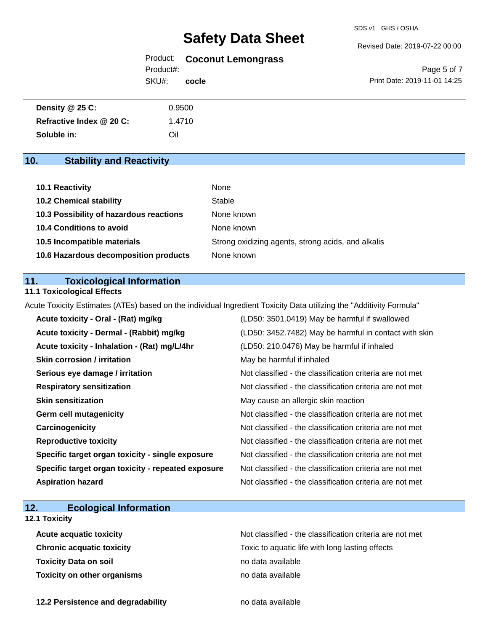#### Revised Date: 2019-07-22 00:00

Product: **Coconut Lemongrass** Product#:

SKU#: **cocle**

Page 5 of 7 Print Date: 2019-11-01 14:25

| <b>Density @ 25 C:</b>   | 0.9500 |  |
|--------------------------|--------|--|
| Refractive Index @ 20 C: | 1.4710 |  |
| Soluble in:              | Oil    |  |

# **10. Stability and Reactivity**

| 10.1 Reactivity                         | None                                               |
|-----------------------------------------|----------------------------------------------------|
| <b>10.2 Chemical stability</b>          | Stable                                             |
| 10.3 Possibility of hazardous reactions | None known                                         |
| <b>10.4 Conditions to avoid</b>         | None known                                         |
| 10.5 Incompatible materials             | Strong oxidizing agents, strong acids, and alkalis |
| 10.6 Hazardous decomposition products   | None known                                         |

## **11. Toxicological Information**

### **11.1 Toxicological Effects**

Acute Toxicity Estimates (ATEs) based on the individual Ingredient Toxicity Data utilizing the "Additivity Formula"

| Acute toxicity - Oral - (Rat) mg/kg                | (LD50: 3501.0419) May be harmful if swallowed            |
|----------------------------------------------------|----------------------------------------------------------|
| Acute toxicity - Dermal - (Rabbit) mg/kg           | (LD50: 3452.7482) May be harmful in contact with skin    |
| Acute toxicity - Inhalation - (Rat) mg/L/4hr       | (LD50: 210.0476) May be harmful if inhaled               |
| <b>Skin corrosion / irritation</b>                 | May be harmful if inhaled                                |
| Serious eye damage / irritation                    | Not classified - the classification criteria are not met |
| <b>Respiratory sensitization</b>                   | Not classified - the classification criteria are not met |
| <b>Skin sensitization</b>                          | May cause an allergic skin reaction                      |
| <b>Germ cell mutagenicity</b>                      | Not classified - the classification criteria are not met |
| Carcinogenicity                                    | Not classified - the classification criteria are not met |
| <b>Reproductive toxicity</b>                       | Not classified - the classification criteria are not met |
| Specific target organ toxicity - single exposure   | Not classified - the classification criteria are not met |
| Specific target organ toxicity - repeated exposure | Not classified - the classification criteria are not met |
| <b>Aspiration hazard</b>                           | Not classified - the classification criteria are not met |

# **12. Ecological Information**

## **12.1 Toxicity**

| <b>Acute acquatic toxicity</b>     | Not classified - the classification criteria are not met |  |
|------------------------------------|----------------------------------------------------------|--|
| <b>Chronic acquatic toxicity</b>   | Toxic to aquatic life with long lasting effects          |  |
| <b>Toxicity Data on soil</b>       | no data available                                        |  |
| <b>Toxicity on other organisms</b> | no data available                                        |  |

**12.2 Persistence and degradability no data available**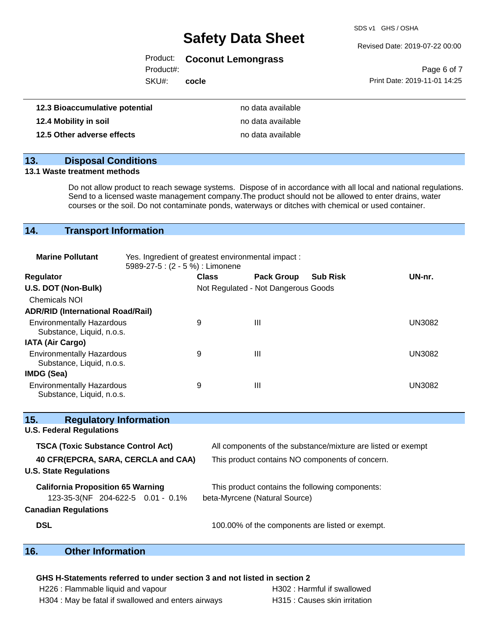SDS v1 GHS / OSHA

#### Revised Date: 2019-07-22 00:00

### Product: **Coconut Lemongrass**

Product#:

SKU#: **cocle**

Page 6 of 7 Print Date: 2019-11-01 14:25

| 12.3 Bioaccumulative potential | no data available |
|--------------------------------|-------------------|
| 12.4 Mobility in soil          | no data available |
| 12.5 Other adverse effects     | no data available |

## **13. Disposal Conditions**

#### **13.1 Waste treatment methods**

Do not allow product to reach sewage systems. Dispose of in accordance with all local and national regulations. Send to a licensed waste management company.The product should not be allowed to enter drains, water courses or the soil. Do not contaminate ponds, waterways or ditches with chemical or used container.

## **14. Transport Information**

| <b>Marine Pollutant</b>                                       | Yes. Ingredient of greatest environmental impact:<br>5989-27-5 : (2 - 5 %) : Limonene |              |                                     |                 |               |
|---------------------------------------------------------------|---------------------------------------------------------------------------------------|--------------|-------------------------------------|-----------------|---------------|
| Regulator                                                     |                                                                                       | <b>Class</b> | <b>Pack Group</b>                   | <b>Sub Risk</b> | UN-nr.        |
| U.S. DOT (Non-Bulk)                                           |                                                                                       |              | Not Regulated - Not Dangerous Goods |                 |               |
| <b>Chemicals NOI</b>                                          |                                                                                       |              |                                     |                 |               |
| <b>ADR/RID (International Road/Rail)</b>                      |                                                                                       |              |                                     |                 |               |
| <b>Environmentally Hazardous</b><br>Substance, Liquid, n.o.s. |                                                                                       | 9            | Ш                                   |                 | UN3082        |
| <b>IATA (Air Cargo)</b>                                       |                                                                                       |              |                                     |                 |               |
| <b>Environmentally Hazardous</b><br>Substance, Liquid, n.o.s. |                                                                                       | 9            | Ш                                   |                 | <b>UN3082</b> |
| IMDG (Sea)                                                    |                                                                                       |              |                                     |                 |               |
| <b>Environmentally Hazardous</b><br>Substance, Liquid, n.o.s. |                                                                                       | 9            | Ш                                   |                 | <b>UN3082</b> |

| 15.<br><b>Regulatory Information</b>      |                                                              |  |  |
|-------------------------------------------|--------------------------------------------------------------|--|--|
| <b>U.S. Federal Regulations</b>           |                                                              |  |  |
| <b>TSCA (Toxic Substance Control Act)</b> | All components of the substance/mixture are listed or exempt |  |  |
| 40 CFR(EPCRA, SARA, CERCLA and CAA)       | This product contains NO components of concern.              |  |  |
| <b>U.S. State Regulations</b>             |                                                              |  |  |
| <b>California Proposition 65 Warning</b>  | This product contains the following components:              |  |  |
| 123-35-3(NF 204-622-5 0.01 - 0.1%         | beta-Myrcene (Natural Source)                                |  |  |
| <b>Canadian Regulations</b>               |                                                              |  |  |
| <b>DSL</b>                                | 100.00% of the components are listed or exempt.              |  |  |
|                                           |                                                              |  |  |

## **16. Other Information**

### **GHS H-Statements referred to under section 3 and not listed in section 2**

| H226 : Flammable liquid and vapour                  | H302 : Harmful if swallowed   |
|-----------------------------------------------------|-------------------------------|
| H304 : May be fatal if swallowed and enters airways | H315 : Causes skin irritation |